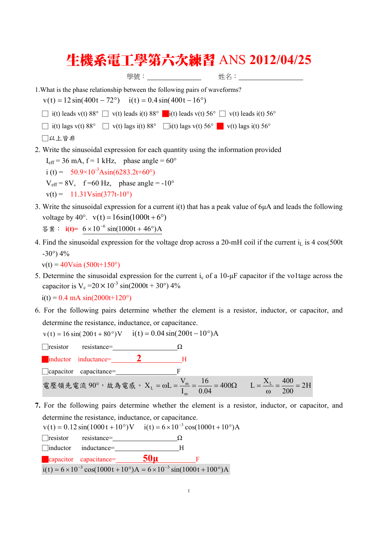## 生機系電工學第六次練習 ANS **2012/04/25**

學號: 姓名:

```
1.What is the phase relationship between the following pairs of waveforms?
```
 $v(t) = 12 \sin(400t - 72^{\circ})$   $i(t) = 0.4 \sin(400t - 16^{\circ})$ 

 $\Box$  i(t) leads v(t) 88°  $\Box$  v(t) leads i(t) 88°  $\Box$  i(t) leads v(t) 56°  $\Box$  v(t) leads i(t) 56°

 $\Box$  i(t) lags v(t) 88°  $\Box$  v(t) lags i(t) 88°  $\Box$ i(t) lags v(t) 56°  $\Box$  v(t) lags i(t) 56°

□以上皆非

2. Write the sinusoidal expression for each quantity using the information provided

 $I_{\text{eff}}$  = 36 mA, f = 1 kHz, phase angle = 60° i (t) =  $50.9 \times 10^{-3}$ Asin(6283.2t+60°)  $V_{\text{eff}} = 8V$ , f =60 Hz, phase angle = -10°  $v(t) = 11.31V\sin(377t-10^{\circ})$ 

3. Write the sinusoidal expression for a current i(t) that has a peak value of 6μA and leads the following voltage by 40°.  $v(t) = 16\sin(1000t + 6°)$ 

```
答案: i(t) = 6 \times 10^{-6} \sin(1000t + 46^{\circ})A
```
4. Find the sinusoidal expression for the voltage drop across a 20-mH coil if the current  $i_L$  is 4 cos(500t  $-30^{\circ}$ ) 4%

 $v(t) = 40V\sin(500t+150^{\circ})$ 

5. Determine the sinusoidal expression for the current ic of a 10-μF capacitor if the vo1tage across the capacitor is  $V_c = 20 \times 10^{-3} \sin(2000t + 30^{\circ})$  4%

 $i(t) = 0.4$  mA  $sin(2000t+120^{\circ})$ 

6. For the following pairs determine whether the element is a resistor, inductor, or capacitor, and determine the resistance, inductance, or capacitance.

$$
v(t) = 16 \sin(200 t + 80^\circ) V
$$
  $i(t) = 0.04 \sin(200 t - 10^\circ) A$ 



**7.** For the following pairs determine whether the element is a resistor, inductor, or capacitor, and determine the resistance, inductance, or capacitance.

 $v(t) = 0.12 \sin(1000 t + 10^{\circ})V$   $i(t) = 6 \times 10^{-3} \cos(1000 t + 10^{\circ})A$  $\Box$ resistor resistance= $\Box$  $\Omega$ □inductor inductance= H █capacitor capacitance= **50μ**<sup>F</sup>  $i(t) = 6 \times 10^{-3} \cos(1000t + 10^{\circ})$ A =  $6 \times 10^{-3} \sin(1000t + 100^{\circ})$ A